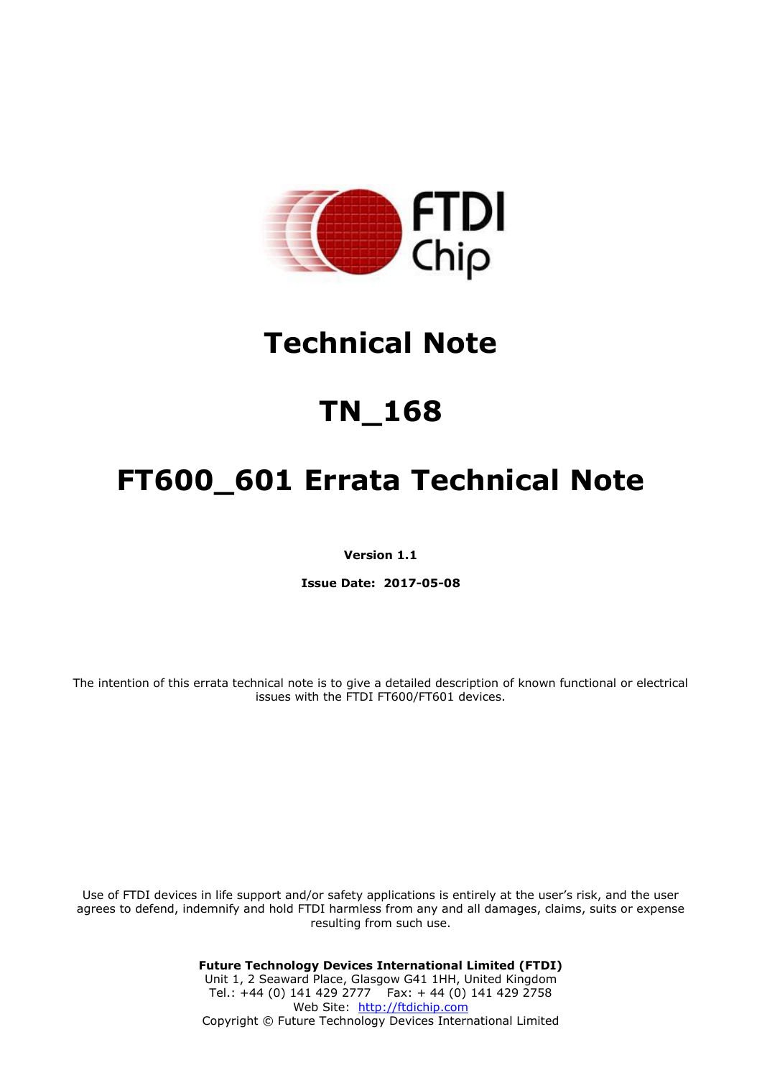

# **Technical Note**

# **TN\_168**

# **FT600\_601 Errata Technical Note**

**Version 1.1**

**Issue Date: 2017-05-08**

The intention of this errata technical note is to give a detailed description of known functional or electrical issues with the FTDI FT600/FT601 devices.

Use of FTDI devices in life support and/or safety applications is entirely at the user's risk, and the user agrees to defend, indemnify and hold FTDI harmless from any and all damages, claims, suits or expense resulting from such use.

> **Future Technology Devices International Limited (FTDI)** Unit 1, 2 Seaward Place, Glasgow G41 1HH, United Kingdom Tel.: +44 (0) 141 429 2777 Fax: + 44 (0) 141 429 2758 Web Site: [http://ftdichip.com](http://ftdichip.com/) Copyright © Future Technology Devices International Limited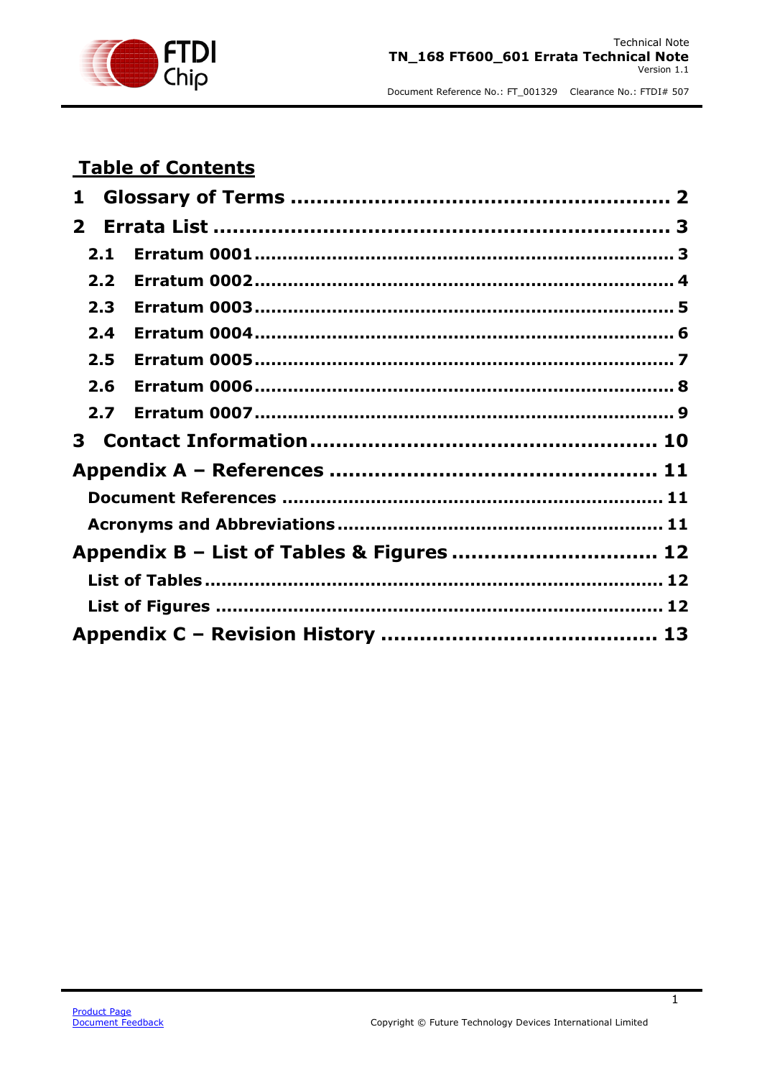

# **Table of Contents**

| 1            |     |                                           |  |
|--------------|-----|-------------------------------------------|--|
| $\mathbf{2}$ |     |                                           |  |
|              | 2.1 |                                           |  |
|              | 2.2 |                                           |  |
|              | 2.3 |                                           |  |
|              | 2.4 |                                           |  |
|              | 2.5 |                                           |  |
|              | 2.6 |                                           |  |
|              | 2.7 |                                           |  |
|              |     |                                           |  |
|              |     |                                           |  |
|              |     |                                           |  |
|              |     |                                           |  |
|              |     | Appendix B - List of Tables & Figures  12 |  |
|              |     |                                           |  |
|              |     |                                           |  |
|              |     |                                           |  |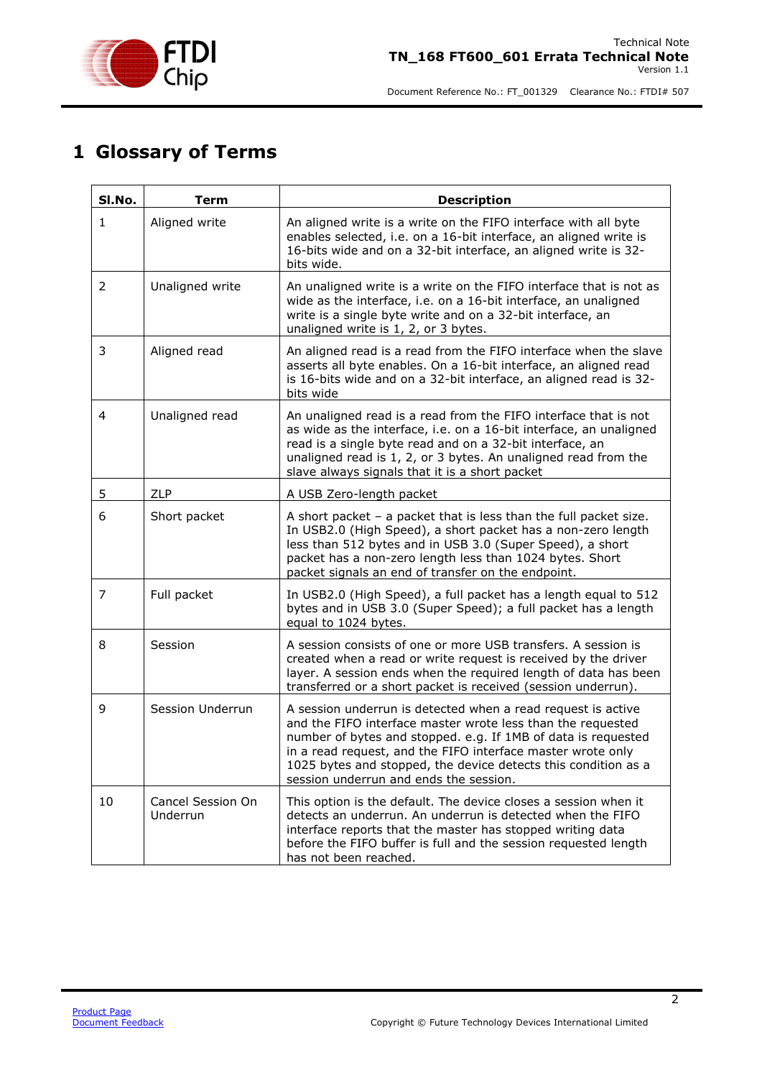

## <span id="page-2-0"></span>**1 Glossary of Terms**

| SI.No.         | <b>Term</b>                   | <b>Description</b>                                                                                                                                                                                                                                                                                                                                                      |
|----------------|-------------------------------|-------------------------------------------------------------------------------------------------------------------------------------------------------------------------------------------------------------------------------------------------------------------------------------------------------------------------------------------------------------------------|
| $\mathbf{1}$   | Aligned write                 | An aligned write is a write on the FIFO interface with all byte<br>enables selected, i.e. on a 16-bit interface, an aligned write is<br>16-bits wide and on a 32-bit interface, an aligned write is 32-<br>bits wide.                                                                                                                                                   |
| $\overline{2}$ | Unaligned write               | An unaligned write is a write on the FIFO interface that is not as<br>wide as the interface, i.e. on a 16-bit interface, an unaligned<br>write is a single byte write and on a 32-bit interface, an<br>unaligned write is 1, 2, or 3 bytes.                                                                                                                             |
| 3              | Aligned read                  | An aligned read is a read from the FIFO interface when the slave<br>asserts all byte enables. On a 16-bit interface, an aligned read<br>is 16-bits wide and on a 32-bit interface, an aligned read is 32-<br>bits wide                                                                                                                                                  |
| 4              | Unaligned read                | An unaligned read is a read from the FIFO interface that is not<br>as wide as the interface, i.e. on a 16-bit interface, an unaligned<br>read is a single byte read and on a 32-bit interface, an<br>unaligned read is 1, 2, or 3 bytes. An unaligned read from the<br>slave always signals that it is a short packet                                                   |
| 5              | ZLP                           | A USB Zero-length packet                                                                                                                                                                                                                                                                                                                                                |
| 6              | Short packet                  | A short packet $-$ a packet that is less than the full packet size.<br>In USB2.0 (High Speed), a short packet has a non-zero length<br>less than 512 bytes and in USB 3.0 (Super Speed), a short<br>packet has a non-zero length less than 1024 bytes. Short<br>packet signals an end of transfer on the endpoint.                                                      |
| 7              | Full packet                   | In USB2.0 (High Speed), a full packet has a length equal to 512<br>bytes and in USB 3.0 (Super Speed); a full packet has a length<br>equal to 1024 bytes.                                                                                                                                                                                                               |
| 8              | Session                       | A session consists of one or more USB transfers. A session is<br>created when a read or write request is received by the driver<br>layer. A session ends when the required length of data has been<br>transferred or a short packet is received (session underrun).                                                                                                     |
| 9              | Session Underrun              | A session underrun is detected when a read request is active<br>and the FIFO interface master wrote less than the requested<br>number of bytes and stopped. e.g. If 1MB of data is requested<br>in a read request, and the FIFO interface master wrote only<br>1025 bytes and stopped, the device detects this condition as a<br>session underrun and ends the session. |
| 10             | Cancel Session On<br>Underrun | This option is the default. The device closes a session when it<br>detects an underrun. An underrun is detected when the FIFO<br>interface reports that the master has stopped writing data<br>before the FIFO buffer is full and the session requested length<br>has not been reached.                                                                                 |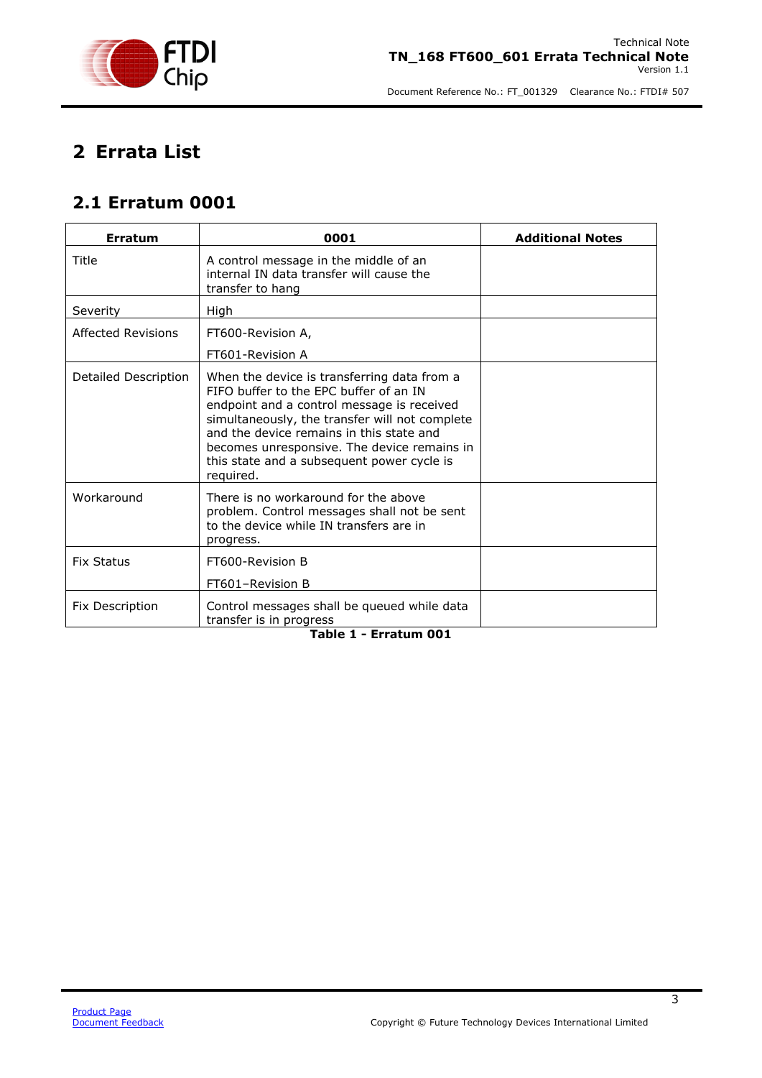

# <span id="page-3-0"></span>**2 Errata List**

#### <span id="page-3-1"></span>**2.1 Erratum 0001**

| Erratum                | 0001                                                                                                                                                                                                                                                                                                                                        | <b>Additional Notes</b> |
|------------------------|---------------------------------------------------------------------------------------------------------------------------------------------------------------------------------------------------------------------------------------------------------------------------------------------------------------------------------------------|-------------------------|
| Title                  | A control message in the middle of an<br>internal IN data transfer will cause the<br>transfer to hang                                                                                                                                                                                                                                       |                         |
| Severity               | High                                                                                                                                                                                                                                                                                                                                        |                         |
| Affected Revisions     | FT600-Revision A,                                                                                                                                                                                                                                                                                                                           |                         |
|                        | FT601-Revision A                                                                                                                                                                                                                                                                                                                            |                         |
| Detailed Description   | When the device is transferring data from a<br>FIFO buffer to the FPC buffer of an IN<br>endpoint and a control message is received<br>simultaneously, the transfer will not complete<br>and the device remains in this state and<br>becomes unresponsive. The device remains in<br>this state and a subsequent power cycle is<br>reguired. |                         |
| Workaround             | There is no workaround for the above<br>problem. Control messages shall not be sent<br>to the device while IN transfers are in<br>progress.                                                                                                                                                                                                 |                         |
| <b>Fix Status</b>      | FT600-Revision B                                                                                                                                                                                                                                                                                                                            |                         |
|                        | FT601-Revision B                                                                                                                                                                                                                                                                                                                            |                         |
| <b>Fix Description</b> | Control messages shall be queued while data<br>transfer is in progress                                                                                                                                                                                                                                                                      |                         |

#### <span id="page-3-2"></span>**Table 1 - Erratum 001**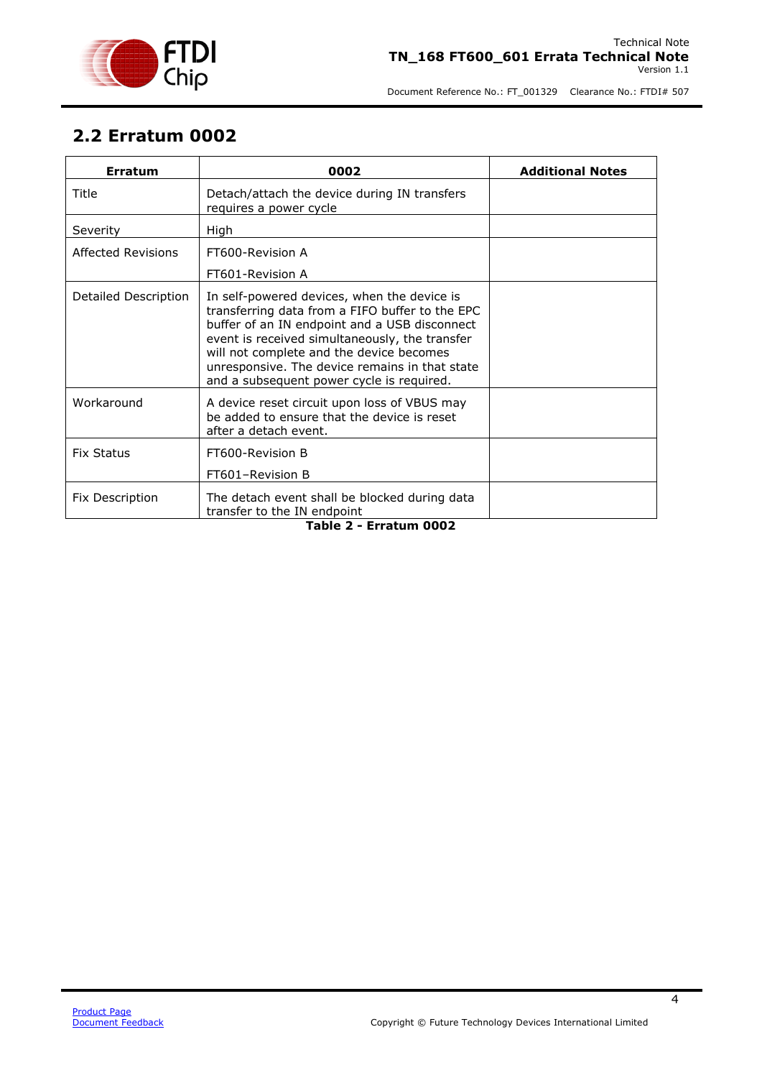

#### <span id="page-4-0"></span>**2.2 Erratum 0002**

<span id="page-4-1"></span>

| <b>Erratum</b>         | 0002                                                                                                                                                                                                                                                                                                                                         | <b>Additional Notes</b> |
|------------------------|----------------------------------------------------------------------------------------------------------------------------------------------------------------------------------------------------------------------------------------------------------------------------------------------------------------------------------------------|-------------------------|
| Title                  | Detach/attach the device during IN transfers<br>requires a power cycle                                                                                                                                                                                                                                                                       |                         |
| Severity               | <b>High</b>                                                                                                                                                                                                                                                                                                                                  |                         |
| Affected Revisions     | FT600-Revision A                                                                                                                                                                                                                                                                                                                             |                         |
|                        | FT601-Revision A                                                                                                                                                                                                                                                                                                                             |                         |
| Detailed Description   | In self-powered devices, when the device is<br>transferring data from a FIFO buffer to the EPC<br>buffer of an IN endpoint and a USB disconnect<br>event is received simultaneously, the transfer<br>will not complete and the device becomes<br>unresponsive. The device remains in that state<br>and a subsequent power cycle is required. |                         |
| Workaround             | A device reset circuit upon loss of VBUS may<br>be added to ensure that the device is reset<br>after a detach event.                                                                                                                                                                                                                         |                         |
| <b>Fix Status</b>      | FT600-Revision B                                                                                                                                                                                                                                                                                                                             |                         |
|                        | FT601-Revision B                                                                                                                                                                                                                                                                                                                             |                         |
| Fix Description        | The detach event shall be blocked during data<br>transfer to the IN endpoint                                                                                                                                                                                                                                                                 |                         |
| Table 2 - Erratum 0002 |                                                                                                                                                                                                                                                                                                                                              |                         |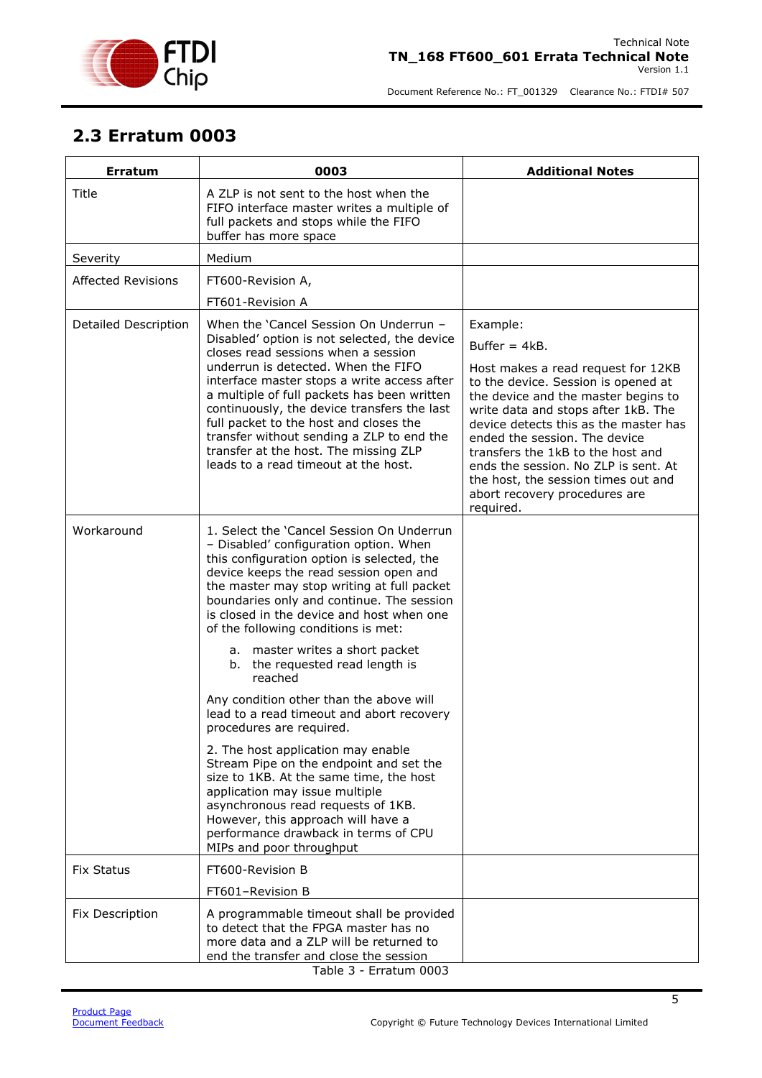

#### <span id="page-5-0"></span>**2.3 Erratum 0003**

<span id="page-5-1"></span>

| <b>Erratum</b>            | 0003                                                                                                                                                                                                                                                                                                                                                                                                                                                                                                                                                                                                                                                                                                                                                                                                                                                                          | <b>Additional Notes</b>                                                                                                                                                                                                                                                                                                                                                                                                |
|---------------------------|-------------------------------------------------------------------------------------------------------------------------------------------------------------------------------------------------------------------------------------------------------------------------------------------------------------------------------------------------------------------------------------------------------------------------------------------------------------------------------------------------------------------------------------------------------------------------------------------------------------------------------------------------------------------------------------------------------------------------------------------------------------------------------------------------------------------------------------------------------------------------------|------------------------------------------------------------------------------------------------------------------------------------------------------------------------------------------------------------------------------------------------------------------------------------------------------------------------------------------------------------------------------------------------------------------------|
| Title                     | A ZLP is not sent to the host when the<br>FIFO interface master writes a multiple of<br>full packets and stops while the FIFO<br>buffer has more space                                                                                                                                                                                                                                                                                                                                                                                                                                                                                                                                                                                                                                                                                                                        |                                                                                                                                                                                                                                                                                                                                                                                                                        |
| Severity                  | Medium                                                                                                                                                                                                                                                                                                                                                                                                                                                                                                                                                                                                                                                                                                                                                                                                                                                                        |                                                                                                                                                                                                                                                                                                                                                                                                                        |
| <b>Affected Revisions</b> | FT600-Revision A,                                                                                                                                                                                                                                                                                                                                                                                                                                                                                                                                                                                                                                                                                                                                                                                                                                                             |                                                                                                                                                                                                                                                                                                                                                                                                                        |
|                           | FT601-Revision A                                                                                                                                                                                                                                                                                                                                                                                                                                                                                                                                                                                                                                                                                                                                                                                                                                                              |                                                                                                                                                                                                                                                                                                                                                                                                                        |
| Detailed Description      | When the 'Cancel Session On Underrun -<br>Disabled' option is not selected, the device<br>closes read sessions when a session<br>underrun is detected. When the FIFO<br>interface master stops a write access after<br>a multiple of full packets has been written<br>continuously, the device transfers the last<br>full packet to the host and closes the<br>transfer without sending a ZLP to end the<br>transfer at the host. The missing ZLP<br>leads to a read timeout at the host.                                                                                                                                                                                                                                                                                                                                                                                     | Example:<br>Buffer $= 4kB$ .<br>Host makes a read request for 12KB<br>to the device. Session is opened at<br>the device and the master begins to<br>write data and stops after 1kB. The<br>device detects this as the master has<br>ended the session. The device<br>transfers the 1kB to the host and<br>ends the session. No ZLP is sent. At<br>the host, the session times out and<br>abort recovery procedures are |
| Workaround                | 1. Select the 'Cancel Session On Underrun<br>- Disabled' configuration option. When<br>this configuration option is selected, the<br>device keeps the read session open and<br>the master may stop writing at full packet<br>boundaries only and continue. The session<br>is closed in the device and host when one<br>of the following conditions is met:<br>a. master writes a short packet<br>b. the requested read length is<br>reached<br>Any condition other than the above will<br>lead to a read timeout and abort recovery<br>procedures are required.<br>2. The host application may enable<br>Stream Pipe on the endpoint and set the<br>size to 1KB. At the same time, the host<br>application may issue multiple<br>asynchronous read requests of 1KB.<br>However, this approach will have a<br>performance drawback in terms of CPU<br>MIPs and poor throughput | required.                                                                                                                                                                                                                                                                                                                                                                                                              |
| <b>Fix Status</b>         | FT600-Revision B                                                                                                                                                                                                                                                                                                                                                                                                                                                                                                                                                                                                                                                                                                                                                                                                                                                              |                                                                                                                                                                                                                                                                                                                                                                                                                        |
|                           | FT601-Revision B                                                                                                                                                                                                                                                                                                                                                                                                                                                                                                                                                                                                                                                                                                                                                                                                                                                              |                                                                                                                                                                                                                                                                                                                                                                                                                        |
| Fix Description           | A programmable timeout shall be provided<br>to detect that the FPGA master has no<br>more data and a ZLP will be returned to<br>end the transfer and close the session<br>Table 3 - Erratum 0003                                                                                                                                                                                                                                                                                                                                                                                                                                                                                                                                                                                                                                                                              |                                                                                                                                                                                                                                                                                                                                                                                                                        |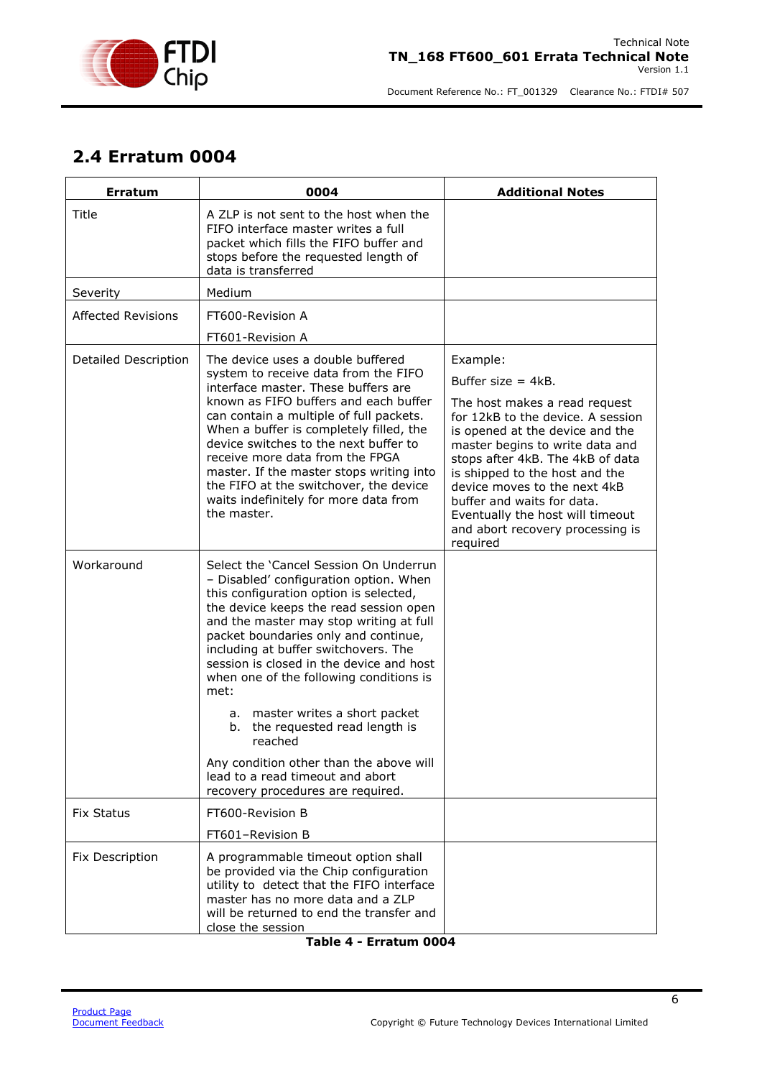

#### <span id="page-6-0"></span>**2.4 Erratum 0004**

| <b>Erratum</b>              | 0004                                                                                                                                                                                                                                                                                                                                                                                                                                                                                                                                                                                                | <b>Additional Notes</b>                                                                                                                                                                                                                                                                                                                                                                               |
|-----------------------------|-----------------------------------------------------------------------------------------------------------------------------------------------------------------------------------------------------------------------------------------------------------------------------------------------------------------------------------------------------------------------------------------------------------------------------------------------------------------------------------------------------------------------------------------------------------------------------------------------------|-------------------------------------------------------------------------------------------------------------------------------------------------------------------------------------------------------------------------------------------------------------------------------------------------------------------------------------------------------------------------------------------------------|
| Title                       | A ZLP is not sent to the host when the<br>FIFO interface master writes a full<br>packet which fills the FIFO buffer and<br>stops before the requested length of<br>data is transferred                                                                                                                                                                                                                                                                                                                                                                                                              |                                                                                                                                                                                                                                                                                                                                                                                                       |
| Severity                    | Medium                                                                                                                                                                                                                                                                                                                                                                                                                                                                                                                                                                                              |                                                                                                                                                                                                                                                                                                                                                                                                       |
| <b>Affected Revisions</b>   | FT600-Revision A                                                                                                                                                                                                                                                                                                                                                                                                                                                                                                                                                                                    |                                                                                                                                                                                                                                                                                                                                                                                                       |
|                             | FT601-Revision A                                                                                                                                                                                                                                                                                                                                                                                                                                                                                                                                                                                    |                                                                                                                                                                                                                                                                                                                                                                                                       |
| <b>Detailed Description</b> | The device uses a double buffered<br>system to receive data from the FIFO<br>interface master. These buffers are<br>known as FIFO buffers and each buffer<br>can contain a multiple of full packets.<br>When a buffer is completely filled, the<br>device switches to the next buffer to<br>receive more data from the FPGA<br>master. If the master stops writing into<br>the FIFO at the switchover, the device<br>waits indefinitely for more data from<br>the master.                                                                                                                           | Example:<br>Buffer size $= 4kB$ .<br>The host makes a read request<br>for 12kB to the device. A session<br>is opened at the device and the<br>master begins to write data and<br>stops after 4kB. The 4kB of data<br>is shipped to the host and the<br>device moves to the next 4kB<br>buffer and waits for data.<br>Eventually the host will timeout<br>and abort recovery processing is<br>required |
| Workaround                  | Select the 'Cancel Session On Underrun<br>- Disabled' configuration option. When<br>this configuration option is selected,<br>the device keeps the read session open<br>and the master may stop writing at full<br>packet boundaries only and continue,<br>including at buffer switchovers. The<br>session is closed in the device and host<br>when one of the following conditions is<br>met:<br>a. master writes a short packet<br>b. the requested read length is<br>reached<br>Any condition other than the above will<br>lead to a read timeout and abort<br>recovery procedures are required. |                                                                                                                                                                                                                                                                                                                                                                                                       |
| <b>Fix Status</b>           | FT600-Revision B                                                                                                                                                                                                                                                                                                                                                                                                                                                                                                                                                                                    |                                                                                                                                                                                                                                                                                                                                                                                                       |
|                             | FT601-Revision B                                                                                                                                                                                                                                                                                                                                                                                                                                                                                                                                                                                    |                                                                                                                                                                                                                                                                                                                                                                                                       |
| Fix Description             | A programmable timeout option shall<br>be provided via the Chip configuration<br>utility to detect that the FIFO interface<br>master has no more data and a ZLP<br>will be returned to end the transfer and<br>close the session                                                                                                                                                                                                                                                                                                                                                                    |                                                                                                                                                                                                                                                                                                                                                                                                       |

<span id="page-6-1"></span>

| Table 4 - Erratum 0004 |  |  |
|------------------------|--|--|
|------------------------|--|--|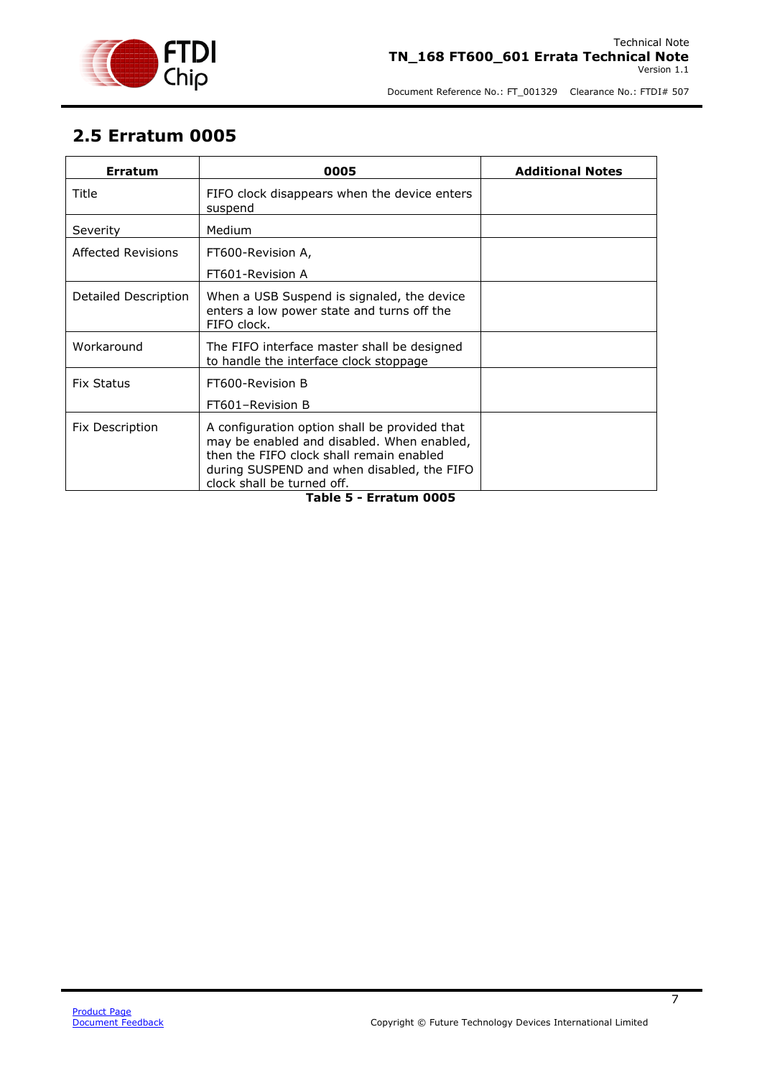

#### <span id="page-7-0"></span>**2.5 Erratum 0005**

| <b>Erratum</b>       | 0005                                                                                                                                                                                                                | <b>Additional Notes</b> |
|----------------------|---------------------------------------------------------------------------------------------------------------------------------------------------------------------------------------------------------------------|-------------------------|
| Title                | FIFO clock disappears when the device enters<br>suspend                                                                                                                                                             |                         |
| Severity             | Medium                                                                                                                                                                                                              |                         |
| Affected Revisions   | FT600-Revision A,<br>FT601-Revision A                                                                                                                                                                               |                         |
| Detailed Description | When a USB Suspend is signaled, the device<br>enters a low power state and turns off the<br>FIFO clock.                                                                                                             |                         |
| Workaround           | The FIFO interface master shall be designed<br>to handle the interface clock stoppage                                                                                                                               |                         |
| <b>Fix Status</b>    | FT600-Revision B                                                                                                                                                                                                    |                         |
|                      | FT601-Revision B                                                                                                                                                                                                    |                         |
| Fix Description      | A configuration option shall be provided that<br>may be enabled and disabled. When enabled,<br>then the FIFO clock shall remain enabled<br>during SUSPEND and when disabled, the FIFO<br>clock shall be turned off. |                         |

#### <span id="page-7-1"></span>**Table 5 - Erratum 0005**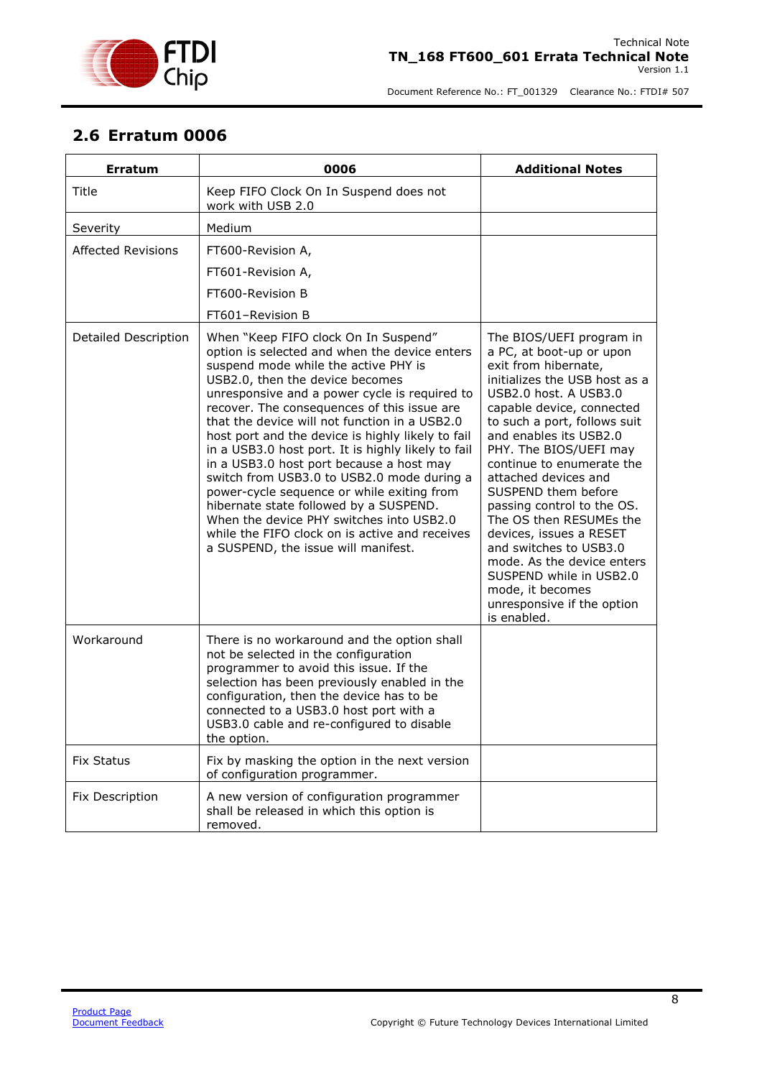

#### <span id="page-8-0"></span>**2.6 Erratum 0006**

| <b>Erratum</b>              | 0006                                                                                                                                                                                                                                                                                                                                                                                                                                                                                                                                                                                                                                                                                                                                                | <b>Additional Notes</b>                                                                                                                                                                                                                                                                                                                                                                                                                                                                                                                                                     |
|-----------------------------|-----------------------------------------------------------------------------------------------------------------------------------------------------------------------------------------------------------------------------------------------------------------------------------------------------------------------------------------------------------------------------------------------------------------------------------------------------------------------------------------------------------------------------------------------------------------------------------------------------------------------------------------------------------------------------------------------------------------------------------------------------|-----------------------------------------------------------------------------------------------------------------------------------------------------------------------------------------------------------------------------------------------------------------------------------------------------------------------------------------------------------------------------------------------------------------------------------------------------------------------------------------------------------------------------------------------------------------------------|
| Title                       | Keep FIFO Clock On In Suspend does not<br>work with USB 2.0                                                                                                                                                                                                                                                                                                                                                                                                                                                                                                                                                                                                                                                                                         |                                                                                                                                                                                                                                                                                                                                                                                                                                                                                                                                                                             |
| Severity                    | Medium                                                                                                                                                                                                                                                                                                                                                                                                                                                                                                                                                                                                                                                                                                                                              |                                                                                                                                                                                                                                                                                                                                                                                                                                                                                                                                                                             |
| <b>Affected Revisions</b>   | FT600-Revision A,                                                                                                                                                                                                                                                                                                                                                                                                                                                                                                                                                                                                                                                                                                                                   |                                                                                                                                                                                                                                                                                                                                                                                                                                                                                                                                                                             |
|                             | FT601-Revision A,                                                                                                                                                                                                                                                                                                                                                                                                                                                                                                                                                                                                                                                                                                                                   |                                                                                                                                                                                                                                                                                                                                                                                                                                                                                                                                                                             |
|                             | FT600-Revision B                                                                                                                                                                                                                                                                                                                                                                                                                                                                                                                                                                                                                                                                                                                                    |                                                                                                                                                                                                                                                                                                                                                                                                                                                                                                                                                                             |
|                             | FT601-Revision B                                                                                                                                                                                                                                                                                                                                                                                                                                                                                                                                                                                                                                                                                                                                    |                                                                                                                                                                                                                                                                                                                                                                                                                                                                                                                                                                             |
| <b>Detailed Description</b> | When "Keep FIFO clock On In Suspend"<br>option is selected and when the device enters<br>suspend mode while the active PHY is<br>USB2.0, then the device becomes<br>unresponsive and a power cycle is required to<br>recover. The consequences of this issue are<br>that the device will not function in a USB2.0<br>host port and the device is highly likely to fail<br>in a USB3.0 host port. It is highly likely to fail<br>in a USB3.0 host port because a host may<br>switch from USB3.0 to USB2.0 mode during a<br>power-cycle sequence or while exiting from<br>hibernate state followed by a SUSPEND.<br>When the device PHY switches into USB2.0<br>while the FIFO clock on is active and receives<br>a SUSPEND, the issue will manifest. | The BIOS/UEFI program in<br>a PC, at boot-up or upon<br>exit from hibernate,<br>initializes the USB host as a<br>USB2.0 host. A USB3.0<br>capable device, connected<br>to such a port, follows suit<br>and enables its USB2.0<br>PHY. The BIOS/UEFI may<br>continue to enumerate the<br>attached devices and<br>SUSPEND them before<br>passing control to the OS.<br>The OS then RESUMEs the<br>devices, issues a RESET<br>and switches to USB3.0<br>mode. As the device enters<br>SUSPEND while in USB2.0<br>mode, it becomes<br>unresponsive if the option<br>is enabled. |
| Workaround                  | There is no workaround and the option shall<br>not be selected in the configuration<br>programmer to avoid this issue. If the<br>selection has been previously enabled in the<br>configuration, then the device has to be<br>connected to a USB3.0 host port with a<br>USB3.0 cable and re-configured to disable<br>the option.                                                                                                                                                                                                                                                                                                                                                                                                                     |                                                                                                                                                                                                                                                                                                                                                                                                                                                                                                                                                                             |
| <b>Fix Status</b>           | Fix by masking the option in the next version<br>of configuration programmer.                                                                                                                                                                                                                                                                                                                                                                                                                                                                                                                                                                                                                                                                       |                                                                                                                                                                                                                                                                                                                                                                                                                                                                                                                                                                             |
| Fix Description             | A new version of configuration programmer<br>shall be released in which this option is<br>removed.                                                                                                                                                                                                                                                                                                                                                                                                                                                                                                                                                                                                                                                  |                                                                                                                                                                                                                                                                                                                                                                                                                                                                                                                                                                             |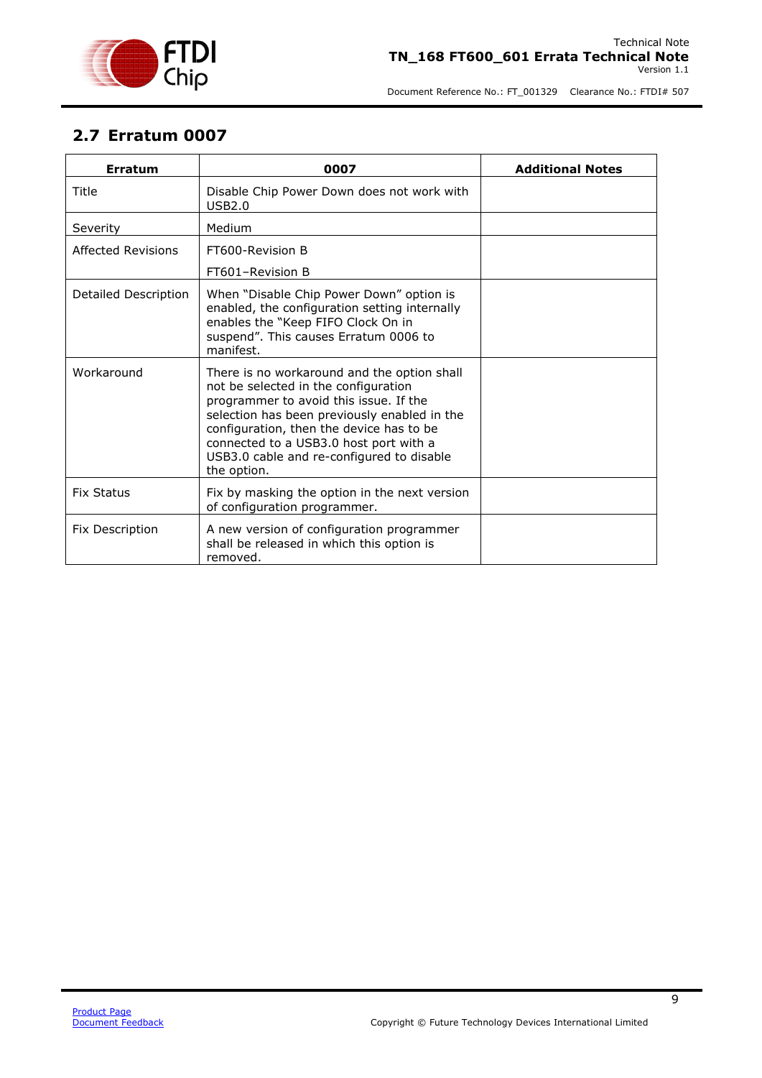

#### <span id="page-9-0"></span>**2.7 Erratum 0007**

| <b>Erratum</b>       | 0007                                                                                                                                                                                                                                                                                                                            | <b>Additional Notes</b> |
|----------------------|---------------------------------------------------------------------------------------------------------------------------------------------------------------------------------------------------------------------------------------------------------------------------------------------------------------------------------|-------------------------|
| Title                | Disable Chip Power Down does not work with<br>USB2.0                                                                                                                                                                                                                                                                            |                         |
| Severity             | Medium                                                                                                                                                                                                                                                                                                                          |                         |
| Affected Revisions   | FT600-Revision B                                                                                                                                                                                                                                                                                                                |                         |
|                      | FT601-Revision B                                                                                                                                                                                                                                                                                                                |                         |
| Detailed Description | When "Disable Chip Power Down" option is<br>enabled, the configuration setting internally<br>enables the "Keep FIFO Clock On in<br>suspend". This causes Erratum 0006 to<br>manifest.                                                                                                                                           |                         |
| Workaround           | There is no workaround and the option shall<br>not be selected in the configuration<br>programmer to avoid this issue. If the<br>selection has been previously enabled in the<br>configuration, then the device has to be<br>connected to a USB3.0 host port with a<br>USB3.0 cable and re-configured to disable<br>the option. |                         |
| <b>Fix Status</b>    | Fix by masking the option in the next version<br>of configuration programmer.                                                                                                                                                                                                                                                   |                         |
| Fix Description      | A new version of configuration programmer<br>shall be released in which this option is<br>removed.                                                                                                                                                                                                                              |                         |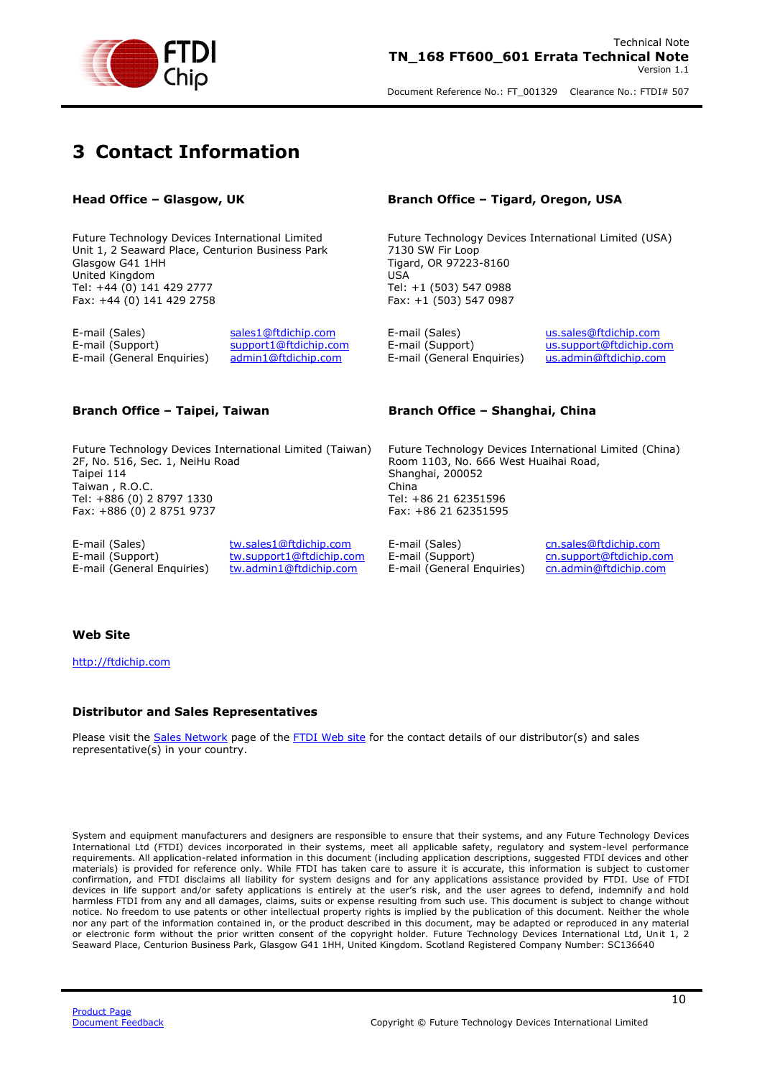

### <span id="page-10-0"></span>**3 Contact Information**

Future Technology Devices International Limited Unit 1, 2 Seaward Place, Centurion Business Park Glasgow G41 1HH United Kingdom Tel: +44 (0) 141 429 2777 Fax: +44 (0) 141 429 2758

E-mail (Sales) [sales1@ftdichip.com](mailto:sales1@ftdichip.com) E-mail (Sales) [us.sales@ftdichip.com](mailto:us.sales@ftdichip.com) E-mail (Support) [support1@ftdichip.com](mailto:support1@ftdichip.com) E-mail (Support) [us.support@ftdichip.com](mailto:us.support@ftdichip.com) E-mail (General Enquiries) [admin1@ftdichip.com](mailto:admin1@ftdichip.com) E-mail (General Enquiries) [us.admin@ftdichip.com](mailto:us.admin@ftdichip.com)

Future Technology Devices International Limited (Taiwan) 2F, No. 516, Sec. 1, NeiHu Road Taipei 114 Taiwan , R.O.C. Tel: +886 (0) 2 8797 1330 Fax: +886 (0) 2 8751 9737

E-mail (Sales) [tw.sales1@ftdichip.com](mailto:tw.sales1@ftdichip.com) E-mail (Sales) [cn.sales@ftdichip.com](mailto:cn.sales@ftdichip.com) E-mail (Support) [tw.support1@ftdichip.com](mailto:tw.support1@ftdichip.com) E-mail (Support) [cn.support@ftdichip.com](mailto:cn.support@ftdichip.com)<br>E-mail (General Enquiries) tw.admin1@ftdichip.com E-mail (General Enquiries) cn.admin@ftdichip.com

**Head Office – Glasgow, UK Branch Office – Tigard, Oregon, USA**

Future Technology Devices International Limited (USA) 7130 SW Fir Loop Tigard, OR 97223-8160 USA Tel: +1 (503) 547 0988 Fax: +1 (503) 547 0987

#### **Branch Office – Taipei, Taiwan Branch Office – Shanghai, China**

Future Technology Devices International Limited (China) Room 1103, No. 666 West Huaihai Road, Shanghai, 200052 China Tel: +86 21 62351596 Fax: +86 21 62351595

E-mail (General Enquiries)

#### **Web Site**

[http://ftdichip.com](http://ftdichip.com/)

#### **Distributor and Sales Representatives**

Please visit the [Sales Network](http://www.ftdichip.com/FTSalesNetwork.htm) page of the [FTDI Web site](http://ftdichip.com/) for the contact details of our distributor(s) and sales representative(s) in your country.

System and equipment manufacturers and designers are responsible to ensure that their systems, and any Future Technology Devices International Ltd (FTDI) devices incorporated in their systems, meet all applicable safety, regulatory and system-level performance requirements. All application-related information in this document (including application descriptions, suggested FTDI devices and other materials) is provided for reference only. While FTDI has taken care to assure it is accurate, this information is subject to customer confirmation, and FTDI disclaims all liability for system designs and for any applications assistance provided by FTDI. Use of FTDI devices in life support and/or safety applications is entirely at the user's risk, and the user agrees to defend, indemnify and hold harmless FTDI from any and all damages, claims, suits or expense resulting from such use. This document is subject to change without notice. No freedom to use patents or other intellectual property rights is implied by the publication of this document. Neither the whole nor any part of the information contained in, or the product described in this document, may be adapted or reproduced in any material or electronic form without the prior written consent of the copyright holder. Future Technology Devices International Ltd, Unit 1, 2 Seaward Place, Centurion Business Park, Glasgow G41 1HH, United Kingdom. Scotland Registered Company Number: SC136640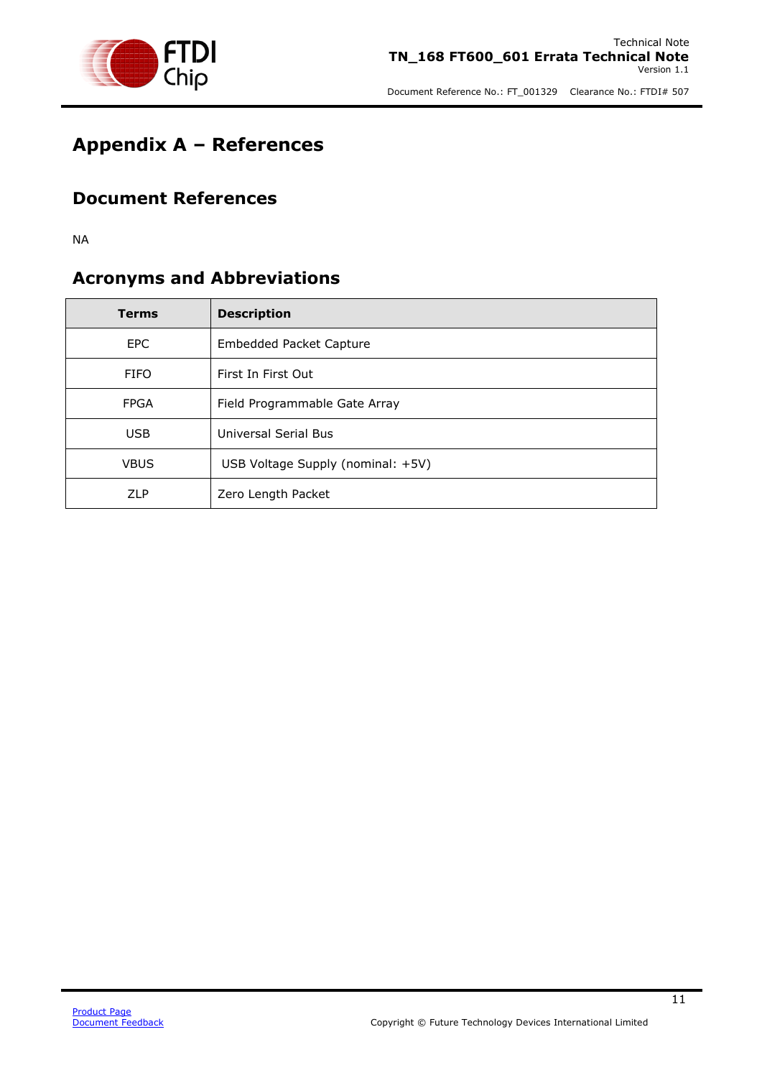

### <span id="page-11-0"></span>**Appendix A – References**

#### <span id="page-11-1"></span>**Document References**

NA

#### <span id="page-11-2"></span>**Acronyms and Abbreviations**

| <b>Terms</b> | <b>Description</b>                |
|--------------|-----------------------------------|
| <b>EPC</b>   | <b>Embedded Packet Capture</b>    |
| <b>FIFO</b>  | First In First Out                |
| <b>FPGA</b>  | Field Programmable Gate Array     |
| <b>USB</b>   | <b>Universal Serial Bus</b>       |
| <b>VBUS</b>  | USB Voltage Supply (nominal: +5V) |
| <b>ZLP</b>   | Zero Length Packet                |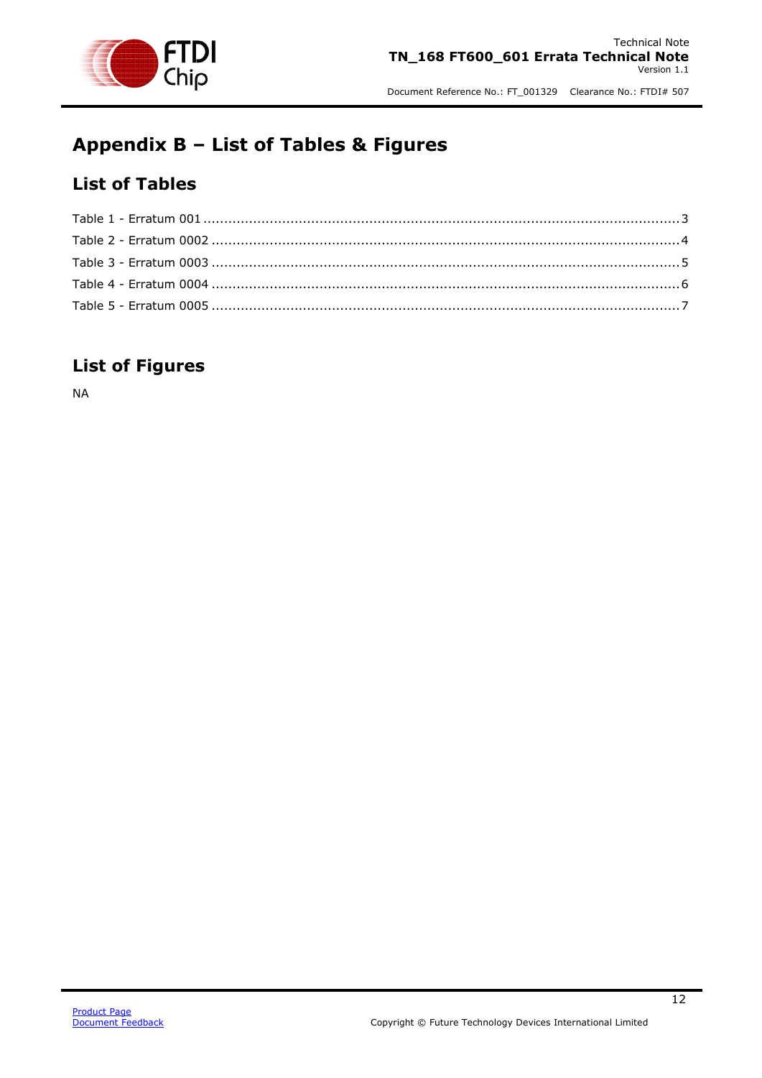

## <span id="page-12-0"></span>**Appendix B – List of Tables & Figures**

#### <span id="page-12-1"></span>**List of Tables**

#### <span id="page-12-2"></span>**List of Figures**

NA